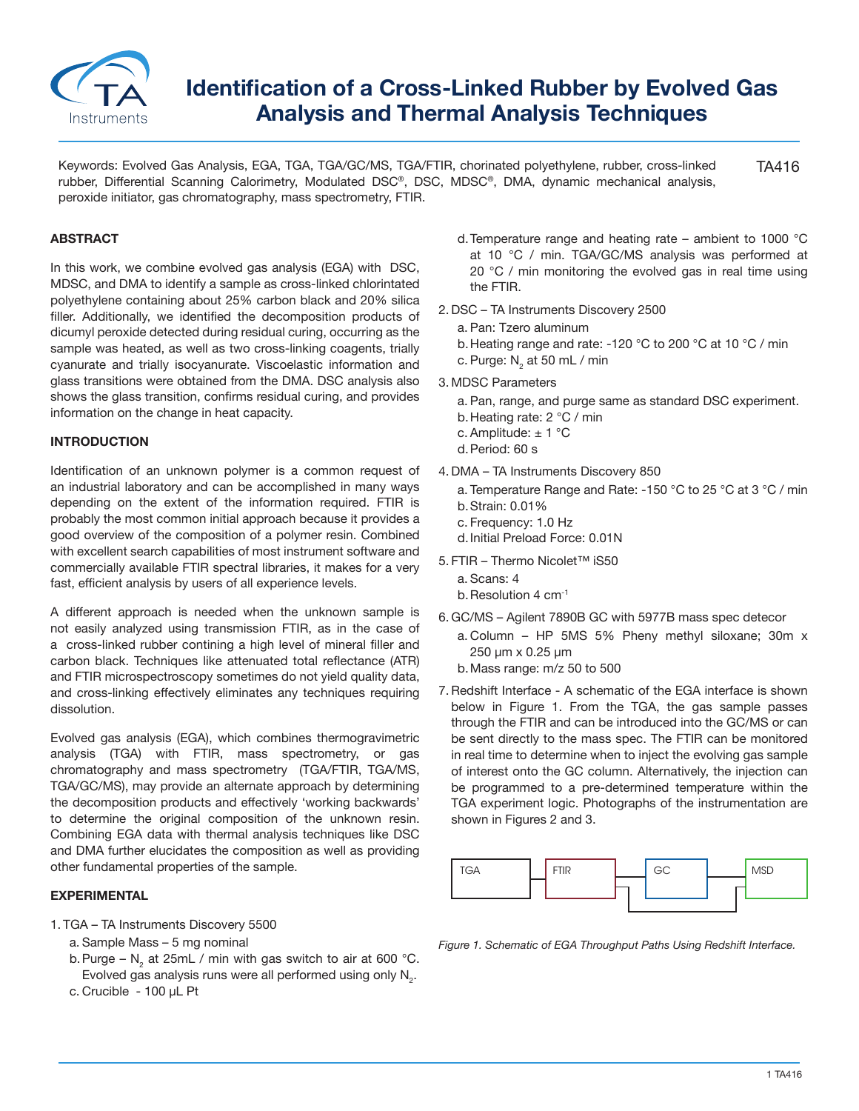

# **Identification of a Cross-Linked Rubber by Evolved Gas Analysis and Thermal Analysis Techniques**

TA416 Keywords: Evolved Gas Analysis, EGA, TGA, TGA/GC/MS, TGA/FTIR, chorinated polyethylene, rubber, cross-linked rubber, Differential Scanning Calorimetry, Modulated DSC®, DSC, MDSC®, DMA, dynamic mechanical analysis, peroxide initiator, gas chromatography, mass spectrometry, FTIR.

# **ABSTRACT**

In this work, we combine evolved gas analysis (EGA) with DSC, MDSC, and DMA to identify a sample as cross-linked chlorintated polyethylene containing about 25% carbon black and 20% silica filler. Additionally, we identified the decomposition products of dicumyl peroxide detected during residual curing, occurring as the sample was heated, as well as two cross-linking coagents, trially cyanurate and trially isocyanurate. Viscoelastic information and glass transitions were obtained from the DMA. DSC analysis also shows the glass transition, confirms residual curing, and provides information on the change in heat capacity.

### **INTRODUCTION**

Identification of an unknown polymer is a common request of an industrial laboratory and can be accomplished in many ways depending on the extent of the information required. FTIR is probably the most common initial approach because it provides a good overview of the composition of a polymer resin. Combined with excellent search capabilities of most instrument software and commercially available FTIR spectral libraries, it makes for a very fast, efficient analysis by users of all experience levels.

A different approach is needed when the unknown sample is not easily analyzed using transmission FTIR, as in the case of a cross-linked rubber contining a high level of mineral filler and carbon black. Techniques like attenuated total reflectance (ATR) and FTIR microspectroscopy sometimes do not yield quality data, and cross-linking effectively eliminates any techniques requiring dissolution.

Evolved gas analysis (EGA), which combines thermogravimetric analysis (TGA) with FTIR, mass spectrometry, or gas chromatography and mass spectrometry (TGA/FTIR, TGA/MS, TGA/GC/MS), may provide an alternate approach by determining the decomposition products and effectively 'working backwards' to determine the original composition of the unknown resin. Combining EGA data with thermal analysis techniques like DSC and DMA further elucidates the composition as well as providing other fundamental properties of the sample.

### **EXPERIMENTAL**

- 1. TGA TA Instruments Discovery 5500
	- a. Sample Mass 5 mg nominal
	- b. Purge N<sub>2</sub> at 25mL / min with gas switch to air at 600 °C. Evolved gas analysis runs were all performed using only  $\mathsf{N}_{_2}$ .
	- c. Crucible 100 μL Pt
- d.Temperature range and heating rate ambient to 1000 °C at 10 °C / min. TGA/GC/MS analysis was performed at 20 °C / min monitoring the evolved gas in real time using the FTIR.
- 2. DSC TA Instruments Discovery 2500
	- a. Pan: Tzero aluminum
	- b.Heating range and rate: -120 °C to 200 °C at 10 °C / min
	- c. Purge: N $_{\rm _2}$  at 50 mL / min
- 3. MDSC Parameters
	- a. Pan, range, and purge same as standard DSC experiment.
	- b.Heating rate: 2 °C / min
	- c. Amplitude:  $\pm$  1 °C
	- d.Period: 60 s
- 4. DMA TA Instruments Discovery 850
	- a. Temperature Range and Rate: -150 °C to 25 °C at 3 °C / min b.Strain: 0.01%
	- c. Frequency: 1.0 Hz
	- d.Initial Preload Force: 0.01N
- 5. FTIR Thermo Nicolet™ iS50
	- a. Scans: 4
	- b. Resolution 4 cm<sup>-1</sup>
- 6. GC/MS Agilent 7890B GC with 5977B mass spec detecor
	- a. Column HP 5MS 5% Pheny methyl siloxane; 30m x 250 µm x 0.25 µm
	- b.Mass range: m/z 50 to 500
- 7.Redshift Interface A schematic of the EGA interface is shown below in Figure 1. From the TGA, the gas sample passes through the FTIR and can be introduced into the GC/MS or can be sent directly to the mass spec. The FTIR can be monitored in real time to determine when to inject the evolving gas sample of interest onto the GC column. Alternatively, the injection can be programmed to a pre-determined temperature within the TGA experiment logic. Photographs of the instrumentation are shown in Figures 2 and 3.



*Figure 1. Schematic of EGA Throughput Paths Using Redshift Interface.*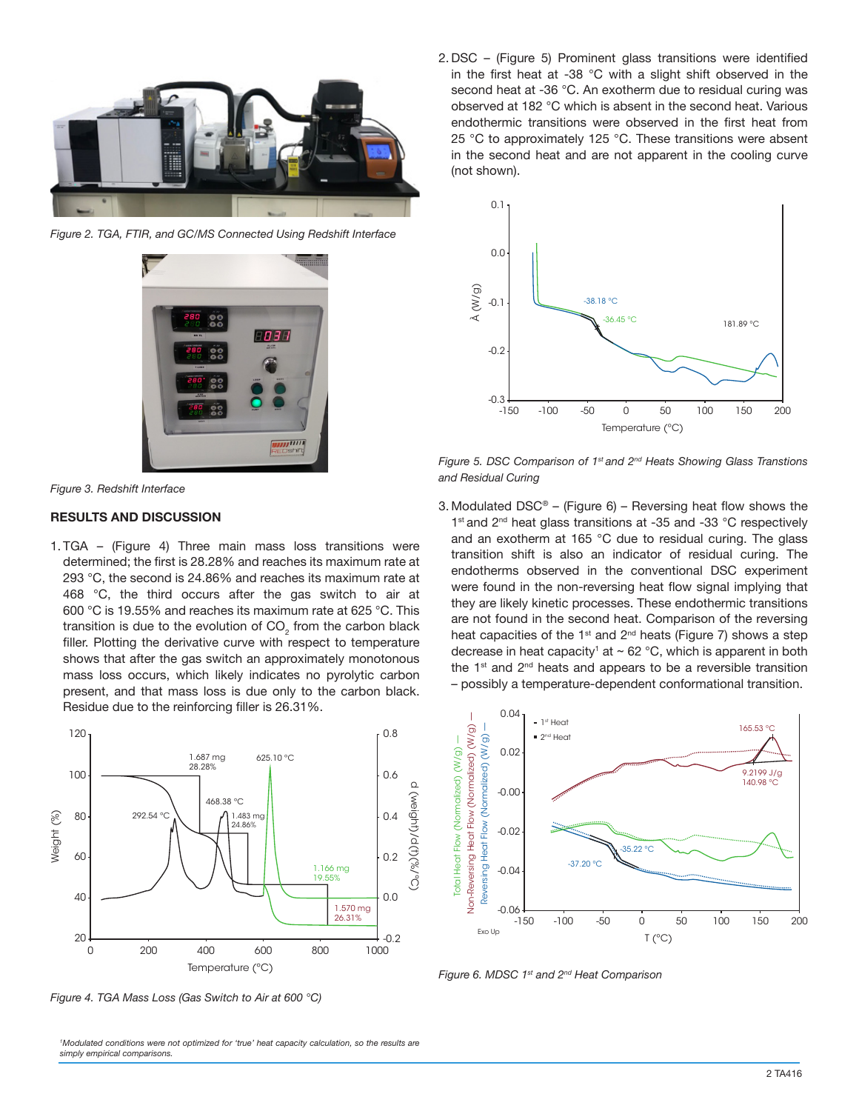

*Figure 2. TGA, FTIR, and GC/MS Connected Using Redshift Interface*





## **RESULTS AND DISCUSSION**

1. TGA – (Figure 4) Three main mass loss transitions were determined; the first is 28.28% and reaches its maximum rate at 293 °C, the second is 24.86% and reaches its maximum rate at 468 °C, the third occurs after the gas switch to air at 600 °C is 19.55% and reaches its maximum rate at 625 °C. This transition is due to the evolution of CO<sub>2</sub> from the carbon black filler. Plotting the derivative curve with respect to temperature shows that after the gas switch an approximately monotonous mass loss occurs, which likely indicates no pyrolytic carbon present, and that mass loss is due only to the carbon black. Residue due to the reinforcing filler is 26.31%.



*Figure 4. TGA Mass Loss (Gas Switch to Air at 600 °C)* 

*1 Modulated conditions were not optimized for 'true' heat capacity calculation, so the results are simply empirical comparisons.*

2. DSC – (Figure 5) Prominent glass transitions were identified in the first heat at -38 °C with a slight shift observed in the second heat at -36 °C. An exotherm due to residual curing was observed at 182 °C which is absent in the second heat. Various endothermic transitions were observed in the first heat from 25 °C to approximately 125 °C. These transitions were absent in the second heat and are not apparent in the cooling curve (not shown).



*Figure 5. DSC Comparison of 1st and 2nd Heats Showing Glass Transtions and Residual Curing*

3. Modulated  $DSC^{\circ}$  – (Figure 6) – Reversing heat flow shows the 1<sup>st</sup> and 2<sup>nd</sup> heat glass transitions at -35 and -33 °C respectively and an exotherm at 165 °C due to residual curing. The glass transition shift is also an indicator of residual curing. The endotherms observed in the conventional DSC experiment were found in the non-reversing heat flow signal implying that they are likely kinetic processes. These endothermic transitions are not found in the second heat. Comparison of the reversing heat capacities of the  $1^{st}$  and  $2^{nd}$  heats (Figure 7) shows a step decrease in heat capacity' at  $\sim$  62 °C, which is apparent in both the  $1<sup>st</sup>$  and  $2<sup>nd</sup>$  heats and appears to be a reversible transition – possibly a temperature-dependent conformational transition.



*Figure 6. MDSC 1st and 2nd Heat Comparison*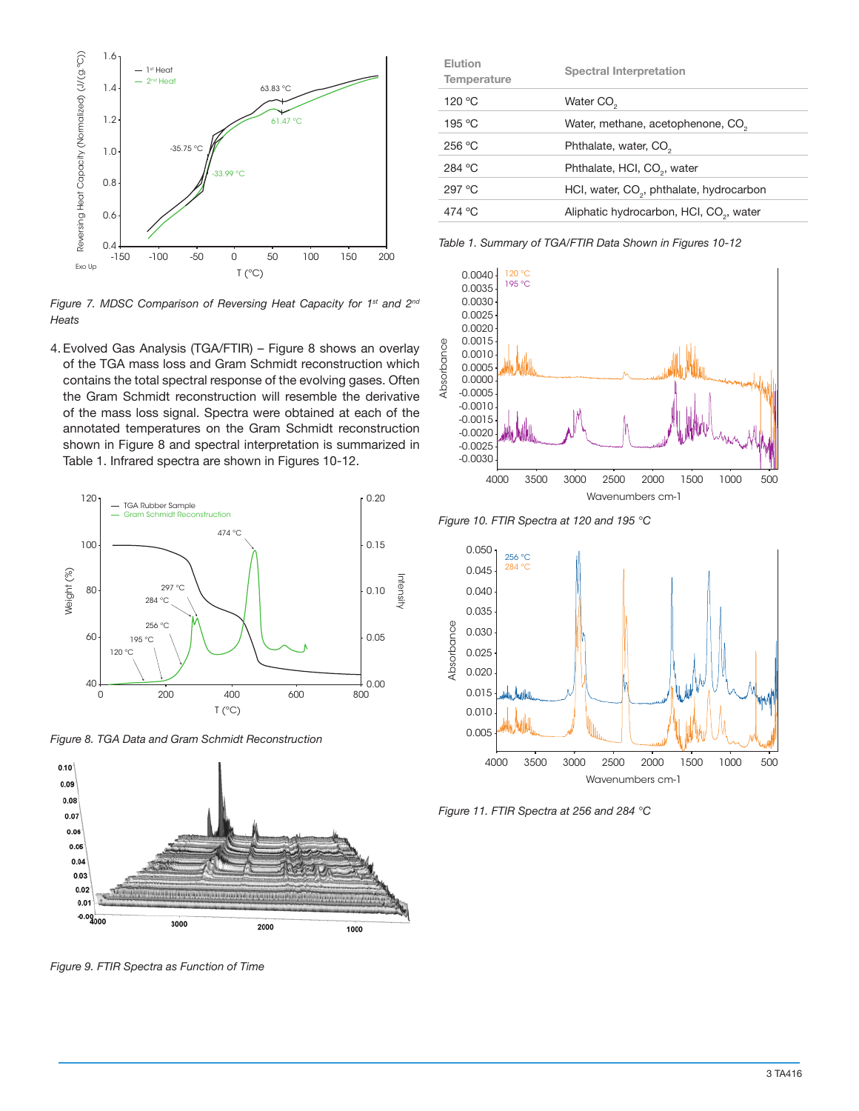

*Figure 7. MDSC Comparison of Reversing Heat Capacity for 1st and 2nd Heats*

4. Evolved Gas Analysis (TGA/FTIR) – Figure 8 shows an overlay of the TGA mass loss and Gram Schmidt reconstruction which contains the total spectral response of the evolving gases. Often the Gram Schmidt reconstruction will resemble the derivative of the mass loss signal. Spectra were obtained at each of the annotated temperatures on the Gram Schmidt reconstruction shown in Figure 8 and spectral interpretation is summarized in Table 1. Infrared spectra are shown in Figures 10-12.



*Figure 8. TGA Data and Gram Schmidt Reconstruction*



*Figure 9. FTIR Spectra as Function of Time*

| Elution<br><b>Spectral Interpretation</b><br>Temperature       |  |
|----------------------------------------------------------------|--|
| 120 °C<br>Water CO <sub>2</sub>                                |  |
| 195 °C<br>Water, methane, acetophenone, CO <sub>2</sub>        |  |
| 256 °C<br>Phthalate, water, CO <sub>2</sub>                    |  |
| 284 °C<br>Phthalate, HCI, CO <sub>2</sub> , water              |  |
| 297 °C<br>HCI, water, CO <sub>2</sub> , phthalate, hydrocarbon |  |
| 474 °C<br>Aliphatic hydrocarbon, HCI, CO <sub>2</sub> , water  |  |

*Table 1. Summary of TGA/FTIR Data Shown in Figures 10-12*







*Figure 11. FTIR Spectra at 256 and 284 °C*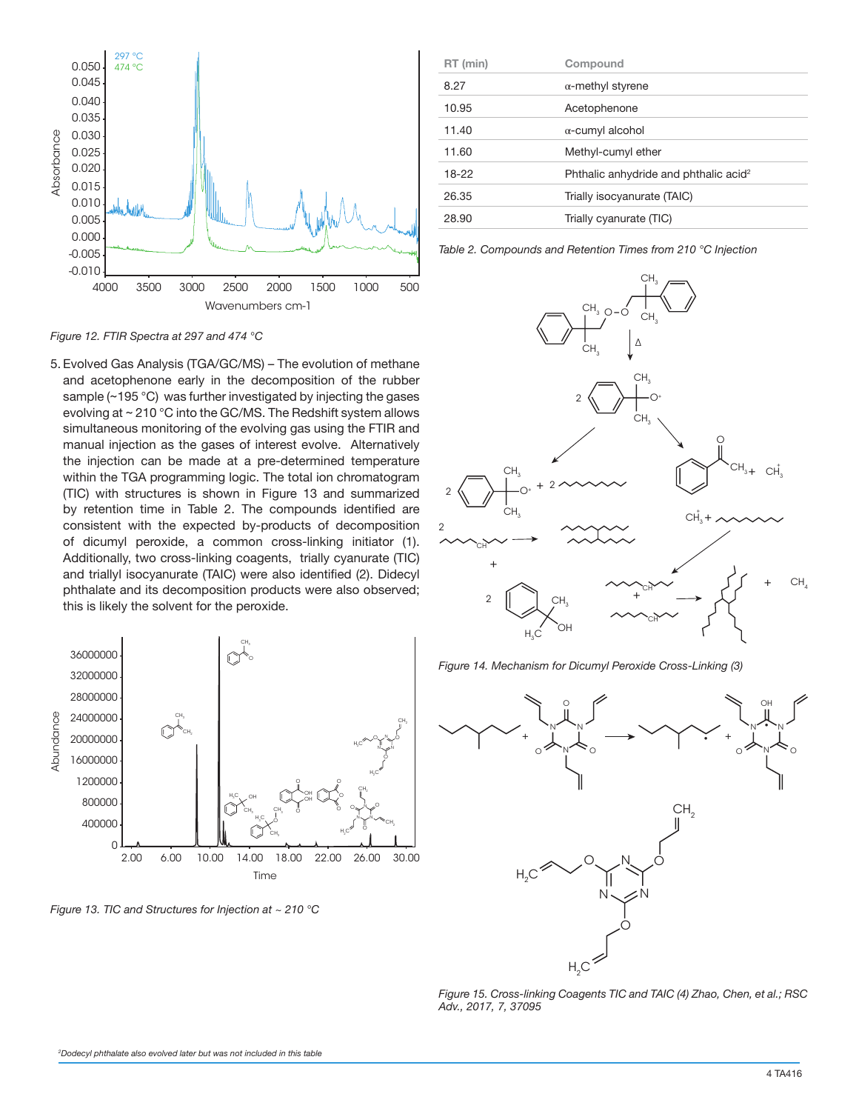

*Figure 12. FTIR Spectra at 297 and 474 °C*

5. Evolved Gas Analysis (TGA/GC/MS) – The evolution of methane and acetophenone early in the decomposition of the rubber sample (~195 °C) was further investigated by injecting the gases evolving at ~ 210 °C into the GC/MS. The Redshift system allows simultaneous monitoring of the evolving gas using the FTIR and manual injection as the gases of interest evolve. Alternatively the injection can be made at a pre-determined temperature within the TGA programming logic. The total ion chromatogram (TIC) with structures is shown in Figure 13 and summarized by retention time in Table 2. The compounds identified are consistent with the expected by-products of decomposition of dicumyl peroxide, a common cross-linking initiator (1). Additionally, two cross-linking coagents, trially cyanurate (TIC) and triallyl isocyanurate (TAIC) were also identified (2). Didecyl phthalate and its decomposition products were also observed; this is likely the solvent for the peroxide.



| RT (min) | Compound                                          |
|----------|---------------------------------------------------|
| 8.27     | $\alpha$ -methyl styrene                          |
| 10.95    | Acetophenone                                      |
| 11.40    | $\alpha$ -cumyl alcohol                           |
| 11.60    | Methyl-cumyl ether                                |
| 18-22    | Phthalic anhydride and phthalic acid <sup>2</sup> |
| 26.35    | Trially isocyanurate (TAIC)                       |
| 28.90    | Trially cyanurate (TIC)                           |

*Table 2. Compounds and Retention Times from 210 °C Injection*



*Figure 14. Mechanism for Dicumyl Peroxide Cross-Linking (3)*



*Figure 15. Cross-linking Coagents TIC and TAIC (4) Zhao, Chen, et al.; RSC Adv., 2017, 7, 37095*